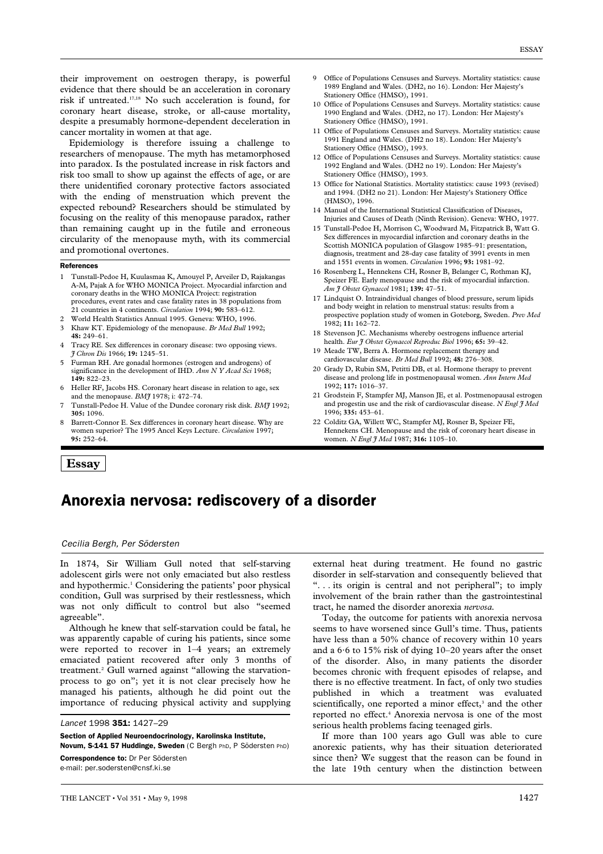their improvement on oestrogen therapy, is powerful evidence that there should be an acceleration in coronary risk if untreated. 17,18 No such acceleration is found, for coronary heart disease, stroke, or all-cause mortality, despite a presumably hormone-dependent deceleration in cancer mortality in women at that age.

Epidemiology is therefore issuing a challenge to researchers of menopause. The myth has metamorphosed into paradox. Is the postulated increase in risk factors and risk too small to show up against the effects of age, or are there unidentified coronary protective factors associated with the ending of menstruation which prevent the expected rebound? Researchers should be stimulated by focusing on the reality of this menopause paradox, rather than remaining caught up in the futile and erroneous circularity of the menopause myth, with its commercial and promotional overtones.

### References

- 1 Tunstall-Pedoe H, Kuulasmaa K, Amouyel P, Arveiler D, Rajakangas A-M, Pajak A for WHO MONICA Project. Myocardial infarction and coronary deaths in the WHO MONICA Project: registration procedures, event rates and case fatality rates in 38 populations from 21 countries in 4 continents. *Circulation* 1994; **90:** 583–612.
- 2 World Health Statistics Annual 1995. Geneva: WHO, 1996.
- 3 Khaw KT. Epidemiology of the menopause. *Br Med Bull* 1992; **48:** 249–61.
- 4 Tracy RE. Sex differences in coronary disease: two opposing views. *J Chron Dis* 1966; **19:** 1245–51.
- 5 Furman RH. Are gonadal hormones (estrogen and androgens) of significance in the development of IHD. *Ann N Y Acad Sci* 1968; **149:** 822–23.
- 6 Heller RF, Jacobs HS. Coronary heart disease in relation to age, sex and the menopause. *BMJ* 1978; i: 472–74.
- 7 Tunstall-Pedoe H. Value of the Dundee coronary risk disk. *BMJ* 1992; **305:** 1096.
- 8 Barrett-Connor E. Sex differences in coronary heart disease. Why are women superior? The 1995 Ancel Keys Lecture. *Circulation* 1997; **95:** 252–64.
- 9 Office of Populations Censuses and Surveys. Mortality statistics: cause 1989 England and Wales. (DH2, no 16). London: Her Majesty's Stationery Office (HMSO), 1991.
- 10 Office of Populations Censuses and Surveys. Mortality statistics: cause 1990 England and Wales. (DH2, no 17). London: Her Majesty's Stationery Office (HMSO), 1991.
- 11 Office of Populations Censuses and Surveys. Mortality statistics: cause 1991 England and Wales. (DH2 no 18). London: Her Majesty's Stationery Office (HMSO), 1993.
- 12 Office of Populations Censuses and Surveys. Mortality statistics: cause 1992 England and Wales. (DH2 no 19). London: Her Majesty's Stationery Office (HMSO), 1993.
- 13 Office for National Statistics. Mortality statistics: cause 1993 (revised) and 1994. (DH2 no 21). London: Her Majesty's Stationery Office (HMSO), 1996.
- 14 Manual of the International Statistical Classification of Diseases, Injuries and Causes of Death (Ninth Revision). Geneva: WHO, 1977.
- 15 Tunstall-Pedoe H, Morrison C, Woodward M, Fitzpatrick B, Watt G. Sex differences in myocardial infarction and coronary deaths in the Scottish MONICA population of Glasgow 1985–91: presentation, diagnosis, treatment and 28-day case fatality of 3991 events in men and 1551 events in women. *Circulation* 1996; **93:** 1981–92.
- 16 Rosenberg L, Hennekens CH, Rosner B, Belanger C, Rothman KJ, Speizer FE. Early menopause and the risk of myocardial infarction. *Am J Obstet Gynaecol* 1981; **139:** 47–51.
- 17 Lindquist O. Intraindividual changes of blood pressure, serum lipids and body weight in relation to menstrual status: results from a prospective poplation study of women in Goteborg, Sweden. *Prev Med* 1982; **11:** 162–72.
- 18 Stevenson JC. Mechanisms whereby oestrogens influence arterial health. *Eur J Obstet Gynaecol Reproduc Biol* 1996; **65:** 39–42.
- 19 Meade TW, Berra A. Hormone replacement therapy and cardiovascular disease. *Br Med Bull* 1992; **48:** 276–308.
- 20 Grady D, Rubin SM, Petitti DB, et al. Hormone therapy to prevent disease and prolong life in postmenopausal women. *Ann Intern Med* 1992; **117:** 1016–37.
- 21 Grodstein F, Stampfer MJ, Manson JE, et al. Postmenopausal estrogen and progestin use and the risk of cardiovascular disease. *N Engl J Med* 1996; **335:** 453–61.
- 22 Colditz GA, Willett WC, Stampfer MJ, Rosner B, Speizer FE, Hennekens CH. Menopause and the risk of coronary heart disease in women. *N Engl J Med* 1987; **316:** 1105–10.

## **Essay**

# Anorexia nervosa: rediscovery of a disorder

### Cecilia Bergh, Per Södersten

In 1874, Sir William Gull noted that self-starving adolescent girls were not only emaciated but also restless and hypothermic.<sup>1</sup> Considering the patients' poor physical condition, Gull was surprised by their restlessness, which was not only difficult to control but also "seemed agreeable".

Although he knew that self-starvation could be fatal, he was apparently capable of curing his patients, since some were reported to recover in 1–4 years; an extremely emaciated patient recovered after only 3 months of treatment.<sup>2</sup> Gull warned against "allowing the starvationprocess to go on"; yet it is not clear precisely how he managed his patients, although he did point out the importance of reducing physical activity and supplying

Lancet 1998 351: 1427-29

Section of Applied Neuroendocrinology, Karolinska Institute, Novum, S-141 57 Huddinge, Sweden (C Bergh PhD, P Södersten PhD)

Correspondence to: Dr Per Södersten e-mail: per.sodersten@cnsf.ki.se

external heat during treatment. He found no gastric disorder in self-starvation and consequently believed that ". . . its origin is central and not peripheral"; to imply involvement of the brain rather than the gastrointestinal tract, he named the disorder anorexia *nervosa.*

Today, the outcome for patients with anorexia nervosa seems to have worsened since Gull's time. Thus, patients have less than a 50% chance of recovery within 10 years and a 6·6 to 15% risk of dying 10–20 years after the onset of the disorder. Also, in many patients the disorder becomes chronic with frequent episodes of relapse, and there is no effective treatment. In fact, of only two studies published in which a treatment was evaluated scientifically, one reported a minor effect,<sup>3</sup> and the other reported no effect.<sup>4</sup> Anorexia nervosa is one of the most serious health problems facing teenaged girls.

If more than 100 years ago Gull was able to cure anorexic patients, why has their situation deteriorated since then? We suggest that the reason can be found in the late 19th century when the distinction between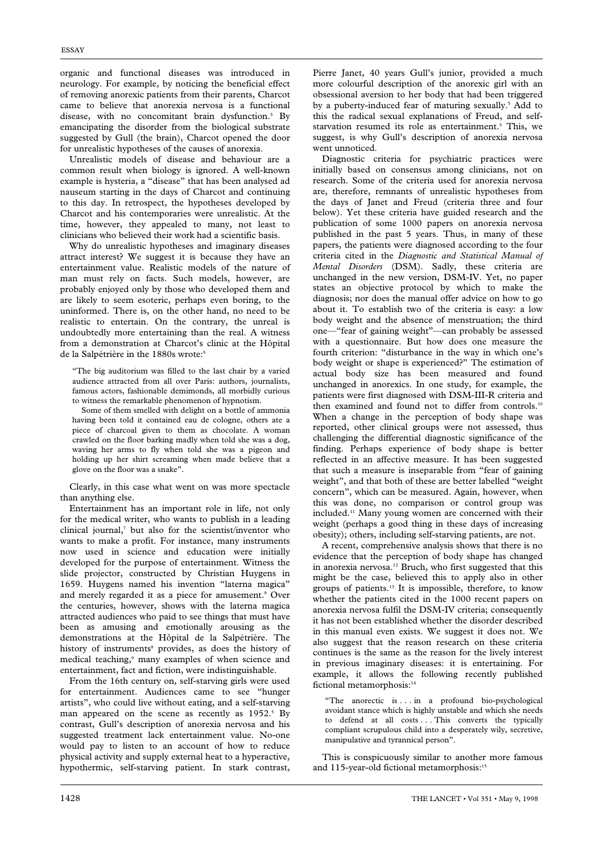organic and functional diseases was introduced in neurology. For example, by noticing the beneficial effect of removing anorexic patients from their parents, Charcot came to believe that anorexia nervosa is a functional disease, with no concomitant brain dysfunction.<sup>5</sup> By emancipating the disorder from the biological substrate suggested by Gull (the brain), Charcot opened the door for unrealistic hypotheses of the causes of anorexia.

Unrealistic models of disease and behaviour are a common result when biology is ignored. A well-known example is hysteria, a "disease" that has been analysed ad nauseum starting in the days of Charcot and continuing to this day. In retrospect, the hypotheses developed by Charcot and his contemporaries were unrealistic. At the time, however, they appealed to many, not least to clinicians who believed their work had a scientific basis.

Why do unrealistic hypotheses and imaginary diseases attract interest? We suggest it is because they have an entertainment value. Realistic models of the nature of man must rely on facts. Such models, however, are probably enjoyed only by those who developed them and are likely to seem esoteric, perhaps even boring, to the uninformed. There is, on the other hand, no need to be realistic to entertain. On the contrary, the unreal is undoubtedly more entertaining than the real. A witness from a demonstration at Charcot's clinic at the Hôpital de la Salpétrière in the 1880s wrote:6

"The big auditorium was filled to the last chair by a varied audience attracted from all over Paris: authors, journalists, famous actors, fashionable demimonds, all morbidly curious to witness the remarkable phenomenon of hypnotism.

Some of them smelled with delight on a bottle of ammonia having been told it contained eau de cologne, others ate a piece of charcoal given to them as chocolate. A woman crawled on the floor barking madly when told she was a dog, waving her arms to fly when told she was a pigeon and holding up her shirt screaming when made believe that a glove on the floor was a snake".

Clearly, in this case what went on was more spectacle than anything else.

Entertainment has an important role in life, not only for the medical writer, who wants to publish in a leading clinical journal, $^7$  but also for the scientist/inventor who wants to make a profit. For instance, many instruments now used in science and education were initially developed for the purpose of entertainment. Witness the slide projector, constructed by Christian Huygens in 1659. Huygens named his invention "laterna magica" and merely regarded it as a piece for amusement.<sup>8</sup> Over the centuries, however, shows with the laterna magica attracted audiences who paid to see things that must have been as amusing and emotionally arousing as the demonstrations at the Hôpital de la Salpétrière. The history of instruments<sup>8</sup> provides, as does the history of medical teaching,<sup>9</sup> many examples of when science and entertainment, fact and fiction, were indistinguishable.

From the 16th century on, self-starving girls were used for entertainment. Audiences came to see "hunger artists", who could live without eating, and a self-starving man appeared on the scene as recently as  $1952$ <sup>5</sup> By contrast, Gull's description of anorexia nervosa and his suggested treatment lack entertainment value. No-one would pay to listen to an account of how to reduce physical activity and supply external heat to a hyperactive, hypothermic, self-starving patient. In stark contrast, Pierre Janet, 40 years Gull's junior, provided a much more colourful description of the anorexic girl with an obsessional aversion to her body that had been triggered by a puberty-induced fear of maturing sexually.<sup>5</sup> Add to this the radical sexual explanations of Freud, and selfstarvation resumed its role as entertainment.<sup>5</sup> This, we suggest, is why Gull's description of anorexia nervosa went unnoticed.

Diagnostic criteria for psychiatric practices were initially based on consensus among clinicians, not on research. Some of the criteria used for anorexia nervosa are, therefore, remnants of unrealistic hypotheses from the days of Janet and Freud (criteria three and four below). Yet these criteria have guided research and the publication of some 1000 papers on anorexia nervosa published in the past 5 years. Thus, in many of these papers, the patients were diagnosed according to the four criteria cited in the *Diagnostic and Statistical Manual of Mental Disorders* (DSM). Sadly, these criteria are unchanged in the new version, DSM-IV. Yet, no paper states an objective protocol by which to make the diagnosis; nor does the manual offer advice on how to go about it. To establish two of the criteria is easy: a low body weight and the absence of menstruation; the third one—"fear of gaining weight"—can probably be assessed with a questionnaire. But how does one measure the fourth criterion: "disturbance in the way in which one's body weight or shape is experienced?" The estimation of actual body size has been measured and found unchanged in anorexics. In one study, for example, the patients were first diagnosed with DSM-III-R criteria and then examined and found not to differ from controls.<sup>10</sup> When a change in the perception of body shape was reported, other clinical groups were not assessed, thus challenging the differential diagnostic significance of the finding. Perhaps experience of body shape is better reflected in an affective measure. It has been suggested that such a measure is inseparable from "fear of gaining weight", and that both of these are better labelled "weight concern", which can be measured. Again, however, when this was done, no comparison or control group was included.11 Many young women are concerned with their weight (perhaps a good thing in these days of increasing obesity); others, including self-starving patients, are not.

A recent, comprehensive analysis shows that there is no evidence that the perception of body shape has changed in anorexia nervosa.12 Bruch, who first suggested that this might be the case, believed this to apply also in other groups of patients.13 It is impossible, therefore, to know whether the patients cited in the 1000 recent papers on anorexia nervosa fulfil the DSM-IV criteria; consequently it has not been established whether the disorder described in this manual even exists. We suggest it does not. We also suggest that the reason research on these criteria continues is the same as the reason for the lively interest in previous imaginary diseases: it is entertaining. For example, it allows the following recently published fictional metamorphosis:<sup>14</sup>

"The anorectic is . . . in a profound bio-psychological avoidant stance which is highly unstable and which she needs to defend at all costs ... This converts the typically compliant scrupulous child into a desperately wily, secretive, manipulative and tyrannical person".

This is conspicuously similar to another more famous and 115-year-old fictional metamorphosis:<sup>15</sup>